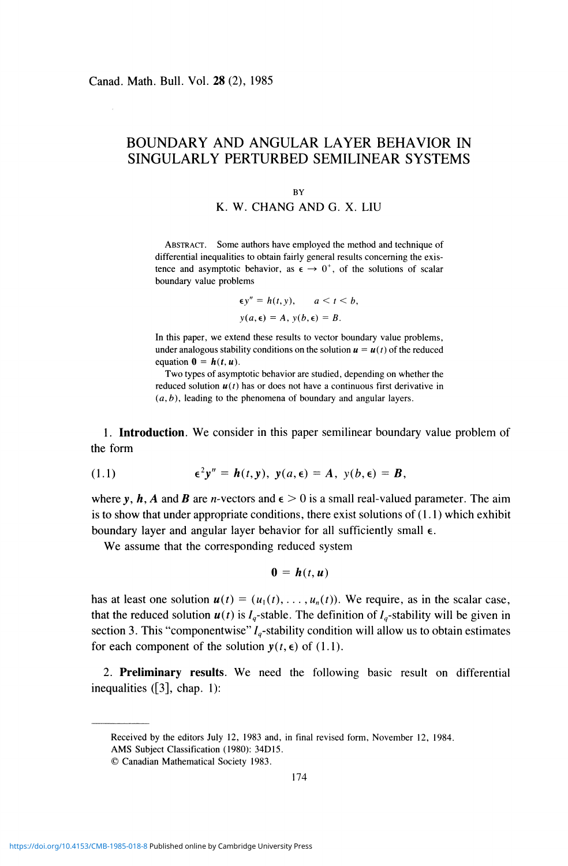## **BOUNDARY AND ANGULAR LAYER BEHAVIOR IN SINGULARLY PERTURBED SEMILINEAR SYSTEMS**

## **BY**

## K. W. CHANG AND G. X. LIU

ABSTRACT. Some authors have employed the method and technique of differential inequalities to obtain fairly general results concerning the existence and asymptotic behavior, as  $\epsilon \to 0^+$ , of the solutions of scalar boundary value problems

$$
\epsilon y'' = h(t, y), \qquad a < t < b,
$$
\n
$$
y(a, \epsilon) = A, \, y(b, \epsilon) = B.
$$

In this paper, we extend these results to vector boundary value problems, under analogous stability conditions on the solution  $u = u(t)$  of the reduced equation  $\mathbf{0} = \mathbf{h}(t, u)$ .

Two types of asymptotic behavior are studied, depending on whether the reduced solution  $u(t)$  has or does not have a continuous first derivative in *(a,b),* leading to the phenomena of boundary and angular layers.

**1. Introduction.** We consider in this paper semilinear boundary value problem of the form

(1.1) 
$$
\epsilon^2 y'' = h(t, y), \ y(a, \epsilon) = A, \ y(b, \epsilon) = B,
$$

where y, h, A and B are n-vectors and  $\epsilon > 0$  is a small real-valued parameter. The aim is to show that under appropriate conditions, there exist solutions of (1.1) which exhibit boundary layer and angular layer behavior for all sufficiently small  $\epsilon$ .

We assume that the corresponding reduced system

$$
\mathbf{0} = \mathbf{h}(t, \mathbf{u})
$$

has at least one solution  $u(t) = (u_1(t), \ldots, u_n(t))$ . We require, as in the scalar case, that the reduced solution  $u(t)$  is  $I_q$ -stable. The definition of  $I_q$ -stability will be given in section 3. This "componentwise"  $I_q$ -stability condition will allow us to obtain estimates for each component of the solution  $y(t, \epsilon)$  of (1.1).

2. **Preliminary results.** We need the following basic result on differential inequalities ([3], chap. 1):

© Canadian Mathematical Society 1983.

Received by the editors July 12, 1983 and, in final revised form, November 12, 1984. AMS Subject Classification (1980): 34D15.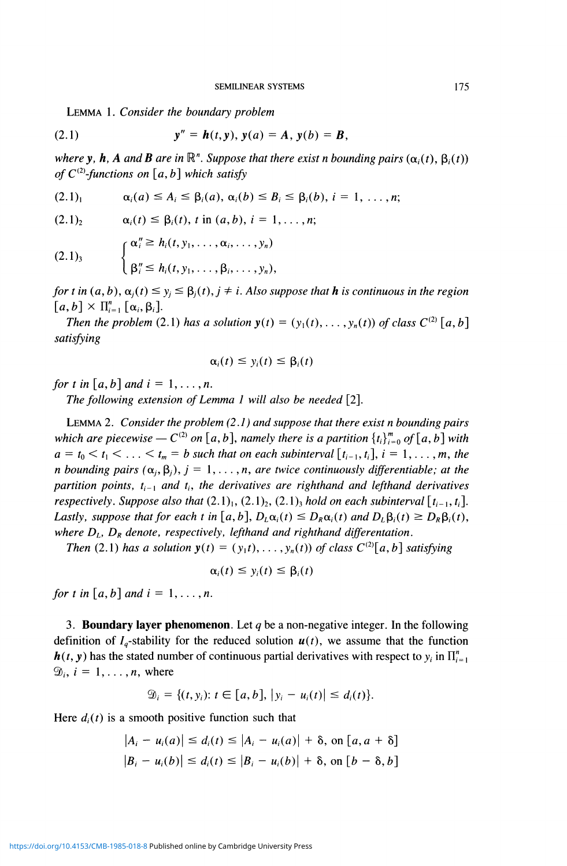LEMMA 1. *Consider the boundary problem* 

(2.1) 
$$
y'' = h(t, y), y(a) = A, y(b) = B,
$$

*where y, h, A and B are in*  $\mathbb{R}^n$ . Suppose that there exist *n* bounding pairs  $(\alpha_i(t), \beta_i(t))$ *of*  $C^{(2)}$ -functions on [a, b] which satisfy

$$
(2.1)1 \qquad \alpha_i(a) \leq A_i \leq \beta_i(a), \alpha_i(b) \leq B_i \leq \beta_i(b), i = 1, ..., n;
$$

 $(2.1)$ <sub>2</sub>  $\alpha_i(t) \leq \beta_i(t), t \text{ in } (a, b), i = 1, \ldots, n;$ 

 $\alpha''_i \geq h_i(t, y_1, \ldots, \alpha_i, \ldots, y_n)$  $(2.1)$ 3  $\mathbf{U} \mathbf{P}_l = \mathbf{W}_l(\mathbf{V},j), \ldots, \mathbf{P}_l, \ldots, \mathbf{Y}_n$ 

for *t* in  $(a, b)$ ,  $\alpha_j(t) \le y_j \le \beta_j(t)$ ,  $j \ne i$ . Also suppose that **h** is continuous in the region  $[a, b] \times \Pi_{i=1}^n [\alpha_i, \beta_i]$ .

 $\begin{bmatrix} a, b \end{bmatrix}$  x  $\begin{bmatrix} \mathbf{u}_i = 1 \\ \mathbf{r}_i \end{bmatrix}$   $\begin{bmatrix} \mathbf{w}_i, \mathbf{p}_i \end{bmatrix}$ .<br>Then the problem (2) *Then the problem* (2.1) *has a solution y(t) — (y\(t),*. .. *,yn(t)) of class* C(2)  *[a,b] satisfying* 

$$
\alpha_i(t) \leq y_i(t) \leq \beta_i(t)
$$

for t in  $[a, b]$  and  $i = 1, \ldots, n$ .

*The following extension of Lemma 1 will also be needed* [2].

LEMMA 2. *Consider the problem (2.1) and suppose that there exist n bounding pairs*  which are piecewise  $-C^{(2)}$  on  $[a, b]$ , namely there is a partition  $\{t_i\}_{i=0}^m$  of  $[a, b]$  with  $a = t_0 < t_1 < \ldots < t_m = b$  such that on each subinterval  $[t_{i-1}, t_i]$ ,  $i = 1, \ldots, m$ , the *n* bounding pairs  $(\alpha_i, \beta_i)$ ,  $j = 1, \ldots, n$ , are twice continuously differentiable; at the *partition points,*  $t_{i-1}$  *and*  $t_i$ *, the derivatives are righthand and lefthand derivatives respectively. Suppose also that*  $(2.1)$ <sub>1</sub>,  $(2.1)$ <sub>2</sub>,  $(2.1)$ <sub>3</sub> *hold on each subinterval*  $[t_{i-1}, t_i]$ *. Lastly, suppose that for each t in* [a, b],  $D_L\alpha_i(t) \leq D_R\alpha_i(t)$  and  $D_L\beta_i(t) \geq D_R\beta_i(t)$ , *where DL, DR denote, respectively, lefthand and righthand differentation.* 

*Then* (2.1) has a solution  $y(t) = (y_1 t), \ldots, y_n(t)$  of class  $C^{(2)}[a, b]$  satisfying

$$
\alpha_i(t) \leq y_i(t) \leq \beta_i(t)
$$

*for t in* [a, b] and  $i = 1, \ldots, n$ .

**3. Boundary layer phenomenon.** Let *q* be a non-negative integer. In the following definition of  $I_q$ -stability for the reduced solution  $u(t)$ , we assume that the function  $h(t, y)$  has the stated number of continuous partial derivatives with respect to  $y_i$  in  $\prod_{i=1}^n$  $\mathcal{D}_i$ ,  $i = 1, \ldots, n$ , where

$$
\mathfrak{D}_i = \{ (t, y_i): t \in [a, b], |y_i - u_i(t)| \leq d_i(t) \}.
$$

Here  $d_i(t)$  is a smooth positive function such that

$$
|A_i - u_i(a)| \le d_i(t) \le |A_i - u_i(a)| + \delta, \text{ on } [a, a + \delta]
$$
  

$$
|B_i - u_i(b)| \le d_i(t) \le |B_i - u_i(b)| + \delta, \text{ on } [b - \delta, b]
$$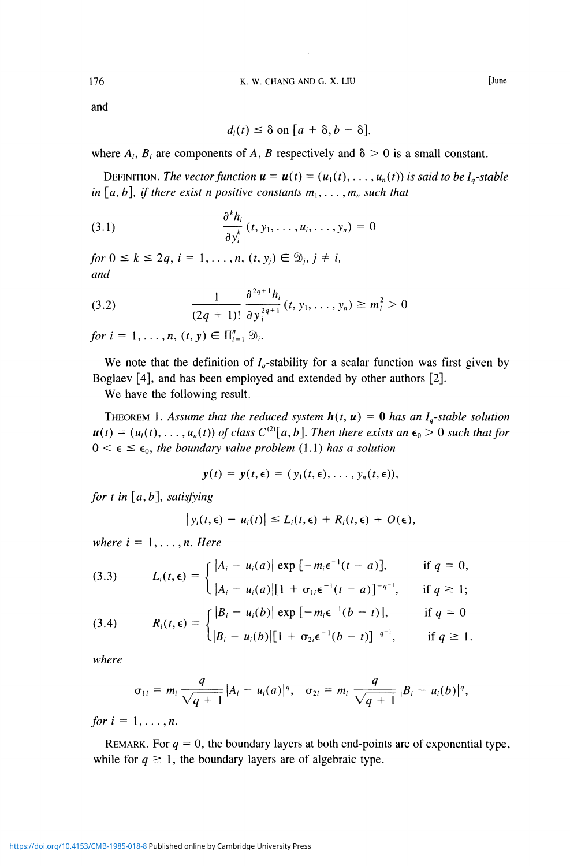and

$$
d_i(t) \leq \delta \text{ on } [a+\delta, b-\delta].
$$

where  $A_i$ ,  $B_i$  are components of A, B respectively and  $\delta > 0$  is a small constant.

DEFINITION. The vector function  $\mathbf{u} = \mathbf{u}(t) = (u_1(t), \ldots, u_n(t))$  is said to be  $I_q$ -stable *in*  $[a, b]$ *, if there exist n positive constants*  $m_1, \ldots, m_n$  *such that* 

(3.1) 
$$
\frac{\partial^k h_i}{\partial y_i^k}(t, y_1, \dots, u_i, \dots, y_n) = 0
$$

and

(3.2) 
$$
\frac{1}{(2q+1)!} \frac{\partial^{2q+1} h_i}{\partial y_i^{2q+1}}(t, y_1, \dots, y_n) \geq m_i^2 > 0
$$

*for*  $i = 1, \ldots, n$ ,  $(t, y) \in \prod_{i=1}^{n} \mathcal{D}_{i}$ .

We note that the definition of  $I<sub>a</sub>$ -stability for a scalar function was first given by Boglaev [4], and has been employed and extended by other authors [2].

We have the following result.

THEOREM 1. Assume that the reduced system  $h(t, u) = 0$  has an  $I_q$ -stable solution  $u(t) = (u_1(t), \ldots, u_n(t))$  of class  $C^{(2)}[a, b]$ . Then there exists an  $\epsilon_0 > 0$  such that for  $0 \leq \epsilon \leq \epsilon_0$ *, the boundary value problem* (1.1) has a solution

$$
\mathbf{y}(t) = \mathbf{y}(t, \boldsymbol{\epsilon}) = (y_1(t, \boldsymbol{\epsilon}), \ldots, y_n(t, \boldsymbol{\epsilon})),
$$

*for t in [a, b], satisfying* 

$$
\big|y_i(t,\epsilon)-u_i(t)\big|\leq L_i(t,\epsilon)+R_i(t,\epsilon)+O(\epsilon),
$$

*where*  $i = 1, \ldots, n$ *. Here* 

(3.3) 
$$
L_i(t,\epsilon) = \begin{cases} |A_i - u_i(a)| \exp[-m_i \epsilon^{-1} (t-a)], & \text{if } q = 0, \\ |A_i - u_i(a)| [1 + \sigma_{1i} \epsilon^{-1} (t-a)]^{-q^{-1}}, & \text{if } q \ge 1; \end{cases}
$$

(3.4) 
$$
R_i(t,\epsilon) = \begin{cases} |B_i - u_i(b)| \exp[-m_i \epsilon^{-1} (b-t)], & \text{if } q = 0 \\ |B_i - u_i(b)| [1 + \sigma_{2i} \epsilon^{-1} (b-t)]^{-q^{-1}}, & \text{if } q \ge 1. \end{cases}
$$

where

$$
\sigma_{1i} = m_i \frac{q}{\sqrt{q+1}} |A_i - u_i(a)|^q, \quad \sigma_{2i} = m_i \frac{q}{\sqrt{q+1}} |B_i - u_i(b)|^q,
$$

*for*  $i = 1, \ldots, n$ .

REMARK. For  $q = 0$ , the boundary layers at both end-points are of exponential type, while for  $q \ge 1$ , the boundary layers are of algebraic type.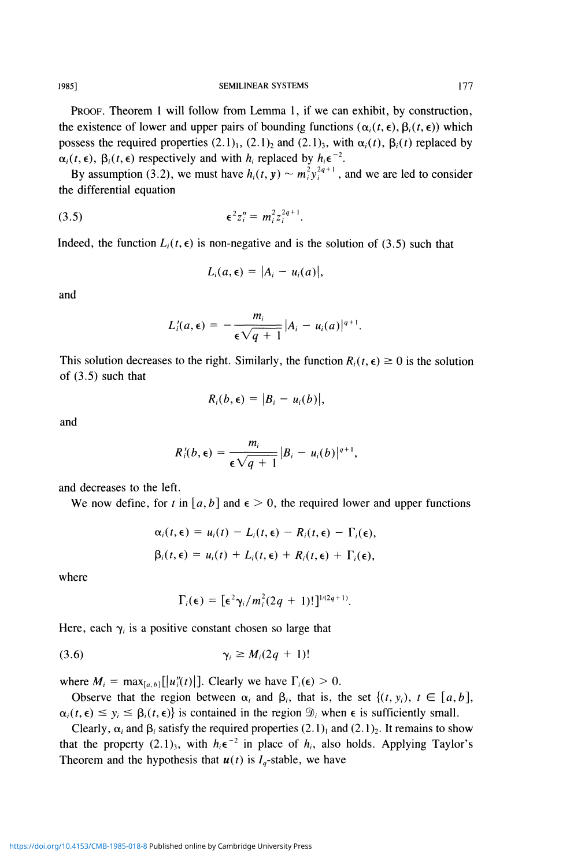1985] SEMILINEAR SYSTEMS 177

PROOF. Theorem 1 will follow from Lemma 1, if we can exhibit, by construction, the existence of lower and upper pairs of bounding functions ( $\alpha_i(t, \epsilon)$ ,  $\beta_i(t, \epsilon)$ ) which possess the required properties  $(2.1)$ <sub>1</sub>,  $(2.1)$ <sub>2</sub> and  $(2.1)$ <sub>3</sub>, with  $\alpha$ <sub>i</sub> $(t)$ ,  $\beta$ <sub>i</sub> $(t)$  replaced by  $\alpha_i(t, \epsilon)$ ,  $\beta_i(t, \epsilon)$  respectively and with  $h_i$  replaced by  $h_i \epsilon^{-2}$ .

By assumption (3.2), we must have  $h_i(t, y) \sim m_i^2 y_i^{2q+1}$ , and we are led to consider the differential equation

(3.5) 
$$
\epsilon^2 z_i'' = m_i^2 z_i^{2q+1}.
$$

Indeed, the function  $L_i(t, \epsilon)$  is non-negative and is the solution of (3.5) such that

$$
L_i(a,\epsilon)=|A_i-u_i(a)|,
$$

and

$$
L_i'(a,\epsilon) = -\frac{m_i}{\epsilon \sqrt{q+1}} |A_i - u_i(a)|^{q+1}.
$$

This solution decreases to the right. Similarly, the function  $R_i(t, \epsilon) \ge 0$  is the solution of (3.5) such that

$$
R_i(b,\epsilon)=|B_i-u_i(b)|,
$$

and

$$
R_i'(b,\epsilon)=\frac{m_i}{\epsilon\sqrt{q+1}}|B_i-u_i(b)|^{q+1},
$$

and decreases to the left.

We now define, for t in  $[a, b]$  and  $\epsilon > 0$ , the required lower and upper functions

$$
\alpha_i(t,\epsilon) = u_i(t) - L_i(t,\epsilon) - R_i(t,\epsilon) - \Gamma_i(\epsilon),
$$
  

$$
\beta_i(t,\epsilon) = u_i(t) + L_i(t,\epsilon) + R_i(t,\epsilon) + \Gamma_i(\epsilon),
$$

where

$$
\Gamma_i(\epsilon) = \left[\epsilon^2 \gamma_i/m_i^2(2q+1)!\right]^{1/(2q+1)}.
$$

Here, each  $\gamma_i$  is a positive constant chosen so large that

$$
\gamma_i \geq M_i(2q+1)!
$$

where  $M_i = \max_{[a, b]}[|u''_i(t)|]$ . Clearly we have  $\Gamma_i(\epsilon) > 0$ .

Observe that the region between  $\alpha_i$  and  $\beta_i$ , that is, the set  $\{(t, y_i), t \in [a, b]\}$ ,  $\alpha_i(t, \epsilon) \leq y_i \leq \beta_i(t, \epsilon)$  is contained in the region  $\mathcal{D}_i$  when  $\epsilon$  is sufficiently small.

Clearly,  $\alpha_i$  and  $\beta_i$  satisfy the required properties  $(2.1)_1$  and  $(2.1)_2$ . It remains to show that the property  $(2.1)_3$ , with  $h_i \epsilon^{-2}$  in place of  $h_i$ , also holds. Applying Taylor's Theorem and the hypothesis that  $u(t)$  is  $I_q$ -stable, we have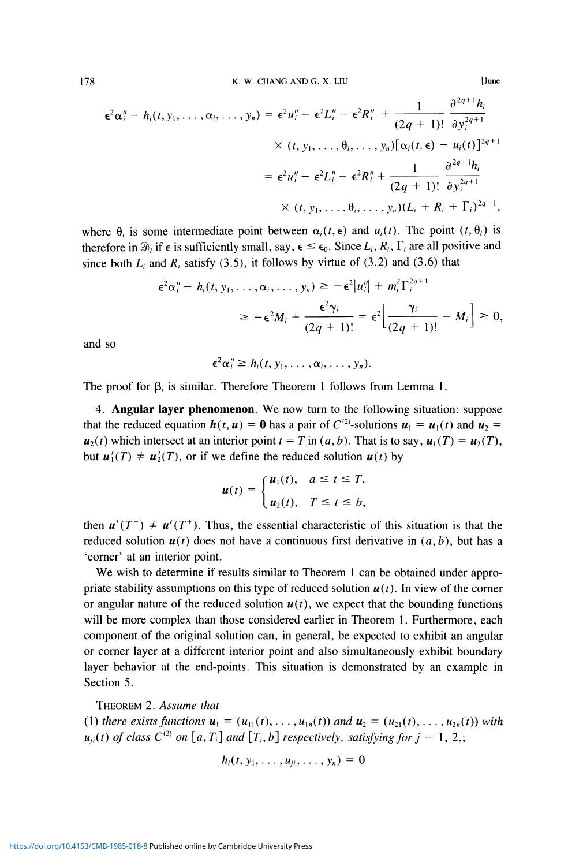$$
\epsilon^{2} \alpha''_{i} - h_{i}(t, y_{1}, \ldots, \alpha_{i}, \ldots, y_{n}) = \epsilon^{2} u''_{i} - \epsilon^{2} L''_{i} - \epsilon^{2} R''_{i} + \frac{1}{(2q + 1)!} \frac{\partial^{2q+1} h_{i}}{\partial y_{i}^{2q+1}} \times (t, y_{1}, \ldots, \theta_{i}, \ldots, y_{n}) [\alpha_{i}(t, \epsilon) - u_{i}(t)]^{2q+1}
$$

$$
= \epsilon^{2} u''_{i} - \epsilon^{2} L''_{i} - \epsilon^{2} R''_{i} + \frac{1}{(2q + 1)!} \frac{\partial^{2q+1} h_{i}}{\partial y_{i}^{2q+1}} \times (t, y_{1}, \ldots, \theta_{i}, \ldots, y_{n}) (L_{i} + R_{i} + \Gamma_{i})^{2q+1},
$$

**June** 

where  $\theta_i$  is some intermediate point between  $\alpha_i(t, \epsilon)$  and  $u_i(t)$ . The point  $(t, \theta_i)$  is therefore in  $\mathcal{D}_i$  if  $\epsilon$  is sufficiently small, say,  $\epsilon \leq \epsilon_0$ . Since  $L_i$ ,  $R_i$ ,  $\Gamma_i$  are all positive and since both  $L_i$  and  $R_i$  satisfy (3.5), it follows by virtue of (3.2) and (3.6) that

$$
\epsilon^2 \alpha_i'' - h_i(t, y_1, \dots, \alpha_i, \dots, y_n) \geq -\epsilon^2 |u_i''| + m_i^2 \Gamma_i^{2q+1}
$$
  

$$
\geq -\epsilon^2 M_i + \frac{\epsilon^2 \gamma_i}{(2q+1)!} = \epsilon^2 \Big[ \frac{\gamma_i}{(2q+1)!} - M_i \Big] \geq 0,
$$

and so

$$
\epsilon^2 \alpha''_i \geq h_i(t, y_1, \ldots, \alpha_i, \ldots, y_n)
$$

The proof for  $\beta_i$  is similar. Therefore Theorem 1 follows from Lemma 1.

4. Angular layer phenomenon. We now turn to the following situation: suppose that the reduced equation  $h(t, u) = 0$  has a pair of  $C^{(2)}$ -solutions  $u_1 = u_1(t)$  and  $u_2 =$  $u_2(t)$  which intersect at an interior point  $t = T$  in  $(a, b)$ . That is to say,  $u_1(T) = u_2(T)$ , but  $u_1'(T) \neq u_2'(T)$ , or if we define the reduced solution  $u(t)$  by

$$
u(t) = \begin{cases} u_1(t), & a \leq t \leq T, \\ u_2(t), & T \leq t \leq b, \end{cases}
$$

then  $u'(T^{-}) \neq u'(T^{+})$ . Thus, the essential characteristic of this situation is that the reduced solution  $u(t)$  does not have a continuous first derivative in  $(a, b)$ , but has a 'corner' at an interior point.

We wish to determine if results similar to Theorem 1 can be obtained under appropriate stability assumptions on this type of reduced solution  $u(t)$ . In view of the corner or angular nature of the reduced solution  $u(t)$ , we expect that the bounding functions will be more complex than those considered earlier in Theorem 1. Furthermore, each component of the original solution can, in general, be expected to exhibit an angular or corner layer at a different interior point and also simultaneously exhibit boundary layer behavior at the end-points. This situation is demonstrated by an example in Section 5.

THEOREM 2. Assume that

(1) there exists functions  $u_1 = (u_{11}(t), \ldots, u_{1n}(t))$  and  $u_2 = (u_{21}(t), \ldots, u_{2n}(t))$  with  $u_{ji}(t)$  of class  $C^{(2)}$  on [a, T<sub>i</sub>] and [T<sub>i</sub>, b] respectively, satisfying for  $j = 1, 2,$ ;

$$
h_i(t, y_1, \ldots, u_{ji}, \ldots, y_n) = 0
$$

178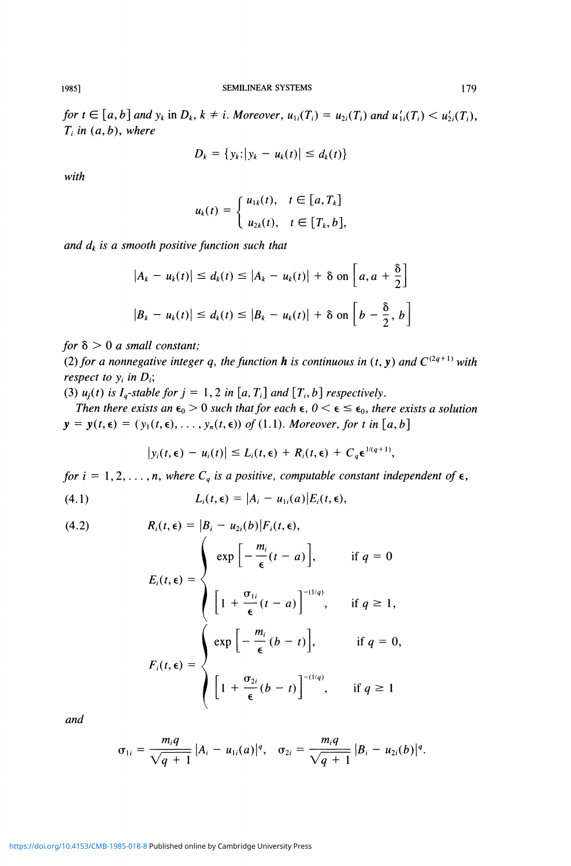*for*  $t \in [a, b]$  and  $y_k$  in  $D_k$ ,  $k \neq i$ . Moreover,  $u_{1i}(T_i) = u_{2i}(T_i)$  and  $u'_{1i}(T_i) < u'_{2i}(T_i)$ ,  $T_i$  in  $(a, b)$ , where

$$
D_k = \{y_k: |y_k - u_k(t)| \leq d_k(t)\}
$$

*with* 

$$
u_k(t) = \begin{cases} u_{1k}(t), & t \in [a, T_k] \\ u_{2k}(t), & t \in [T_k, b], \end{cases}
$$

*and dk is a smooth positive function such that* 

$$
|A_k - u_k(t)| \le d_k(t) \le |A_k - u_k(t)| + \delta \text{ on } \left[a, a + \frac{\delta}{2}\right]
$$
  

$$
|B_k - u_k(t)| \le d_k(t) \le |B_k - u_k(t)| + \delta \text{ on } \left[b - \frac{\delta}{2}, b\right]
$$

*for*  $\delta > 0$  *a small constant;* 

(2) for a nonnegative integer q, the function **h** is continuous in  $(t, y)$  and  $C^{(2q+1)}$  with *respect to*  $y_i$  *in*  $D_i$ ;

(3)  $u_j(t)$  is  $I_q$ -stable for  $j = 1, 2$  in [a,  $T_i$ ] and [ $T_i$ , b] respectively.

*Then there exists an*  $\epsilon_0 > 0$  *such that for each*  $\epsilon$ ,  $0 < \epsilon \leq \epsilon_0$ *, there exists a solution*  $y = y(t, \epsilon) = (y_1(t, \epsilon), \ldots, y_n(t, \epsilon))$  of (1.1). Moreover, for t in [a, b]

$$
|y_i(t,\epsilon) - u_i(t)| \leq L_i(t,\epsilon) + R_i(t,\epsilon) + C_q \epsilon^{1/(q+1)},
$$

for  $i = 1, 2, ..., n$ , where  $C_q$  is a positive, computable constant independent of  $\epsilon$ ,

$$
(4.1) \t L_i(t,\epsilon) = |A_i - u_{1i}(a)|E_i(t,\epsilon),
$$

(4.2) 
$$
R_i(t, \epsilon) = |B_i - u_{2i}(b)|F_i(t, \epsilon),
$$

$$
E_i(t, \epsilon) = \begin{cases} exp\left[-\frac{m_i}{\epsilon}(t-a)\right], & \text{if } q = 0\\ \left[1 + \frac{\sigma_{1i}}{\epsilon}(t-a)\right]^{-(1/q)}, & \text{if } q \ge 1, \end{cases}
$$

$$
F_i(t, \epsilon) = \begin{cases} exp\left[-\frac{m_i}{\epsilon}(b-t)\right], & \text{if } q = 0, \\ \left[1 + \frac{\sigma_{2i}}{\epsilon}(b-t)\right]^{-(1/q)}, & \text{if } q \ge 1 \end{cases}
$$

ant/

$$
\sigma_{1i}=\frac{m_iq}{\sqrt{q+1}}|A_i-u_{1i}(a)|^q, \quad \sigma_{2i}=\frac{m_iq}{\sqrt{q+1}}|B_i-u_{2i}(b)|^q.
$$

<https://doi.org/10.4153/CMB-1985-018-8>Published online by Cambridge University Press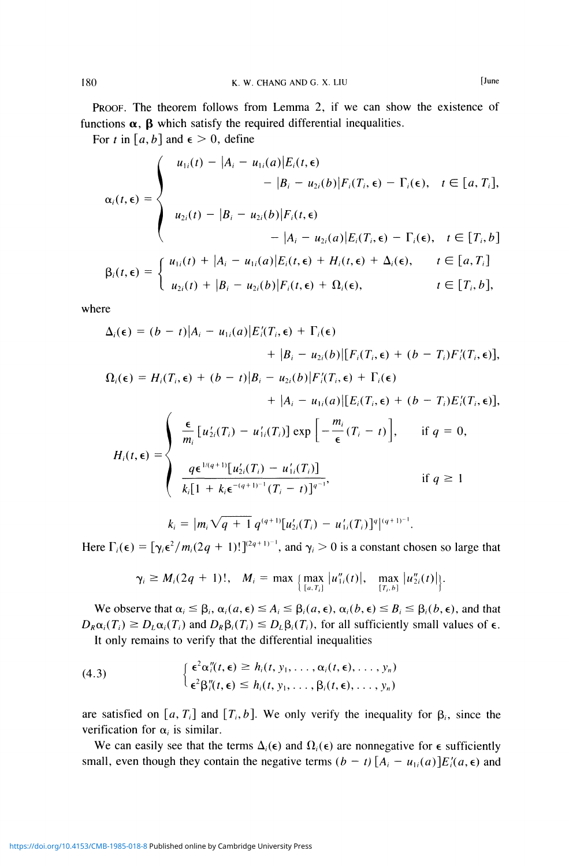PROOF. The theorem follows from Lemma 2, if we can show the existence of functions  $\alpha$ ,  $\beta$  which satisfy the required differential inequalities.

For *t* in [a, b] and  $\epsilon > 0$ , define

$$
\alpha_i(t,\epsilon) = \begin{cases}\nu_{1i}(t) - |A_i - u_{1i}(a)|E_i(t,\epsilon) \\
- |B_i - u_{2i}(b)|F_i(T_i,\epsilon) - \Gamma_i(\epsilon), & t \in [a, T_i], \\
u_{2i}(t) - |B_i - u_{2i}(b)|F_i(t,\epsilon) \\
- |A_i - u_{2i}(a)|E_i(T_i,\epsilon) - \Gamma_i(\epsilon), & t \in [T_i, b] \\
\beta_i(t,\epsilon) = \begin{cases}\nu_{1i}(t) + |A_i - u_{1i}(a)|E_i(t,\epsilon) + H_i(t,\epsilon) + \Delta_i(\epsilon), & t \in [a, T_i] \\
u_{2i}(t) + |B_i - u_{2i}(b)|F_i(t,\epsilon) + \Omega_i(\epsilon), & t \in [T_i, b],\n\end{cases}\n\end{cases}
$$

where

$$
\Delta_{i}(\epsilon) = (b - t)|A_{i} - u_{1i}(a)|E'_{i}(T_{i}, \epsilon) + \Gamma_{i}(\epsilon) \n+ |B_{i} - u_{2i}(b)|[F_{i}(T_{i}, \epsilon) + (b - T_{i})F'_{i}(T_{i}, \epsilon)],\n\Omega_{i}(\epsilon) = H_{i}(T_{i}, \epsilon) + (b - t)|B_{i} - u_{2i}(b)|F'_{i}(T_{i}, \epsilon) + \Gamma_{i}(\epsilon) \n+ |A_{i} - u_{1i}(a)|[E_{i}(T_{i}, \epsilon) + (b - T_{i})E'_{i}(T_{i}, \epsilon)],\nH_{i}(t, \epsilon) = \begin{cases}\n\frac{\epsilon}{m_{i}} [u'_{2i}(T_{i}) - u'_{1i}(T_{i})] \exp\left[-\frac{m_{i}}{\epsilon}(T_{i} - t)\right], & \text{if } q = 0, \\
\frac{q\epsilon^{1/(q+1)}[u'_{2i}(T_{i}) - u'_{1i}(T_{i})]}{k_{i}[1 + k_{i}\epsilon^{-(q+1)^{-1}}(T_{i} - t)]^{q^{-1}}}, & \text{if } q \ge 1\n\end{cases}
$$
\n
$$
k_{i} = |m_{i}\sqrt{q+1} q^{(q+1)}[u'_{2i}(T_{i}) - u'_{1i}(T_{i})]^{q}|^{(q+1)^{-1}}.
$$

Here  $\Gamma_i(\epsilon) = [\gamma_i \epsilon^2 / m_i(2q + 1)!]^{(2q+1)-1}$ , and  $\gamma_i > 0$  is a constant chosen so large that

$$
\gamma_i \geq M_i(2q + 1)!, \quad M_i = \max\left\{\max_{[a,T_i]} |u''_{1i}(t)|, \quad \max_{[T_i,b]} |u''_{2i}(t)|\right\}.
$$

We observe that  $\alpha_i \leq \beta_i$ ,  $\alpha_i(a, \epsilon) \leq A_i \leq \beta_i(a, \epsilon)$ ,  $\alpha_i(b, \epsilon) \leq B_i \leq \beta_i(b, \epsilon)$ , and that  $D_R \alpha_i(T_i) \geq D_L \alpha_i(T_i)$  and  $D_R \beta_i(T_i) \leq D_L \beta_i(T_i)$ , for all sufficiently small values of  $\epsilon$ . It only remains to verify that the differential inequalities

(4.3) 
$$
\begin{cases} \epsilon^2 \alpha''_i(t,\epsilon) \geq h_i(t,y_1,\ldots,\alpha_i(t,\epsilon),\ldots,y_n) \\ \epsilon^2 \beta''_i(t,\epsilon) \leq h_i(t,y_1,\ldots,\beta_i(t,\epsilon),\ldots,y_n) \end{cases}
$$

are satisfied on  $[a, T_i]$  and  $[T_i, b]$ . We only verify the inequality for  $\beta_i$ , since the verification for  $\alpha_i$  is similar.

We can easily see that the terms  $\Delta_i(\epsilon)$  and  $\Omega_i(\epsilon)$  are nonnegative for  $\epsilon$  sufficiently small, even though they contain the negative terms  $(b - t) [A_i - u_{1i}(a)]E_i'(a, \epsilon)$  and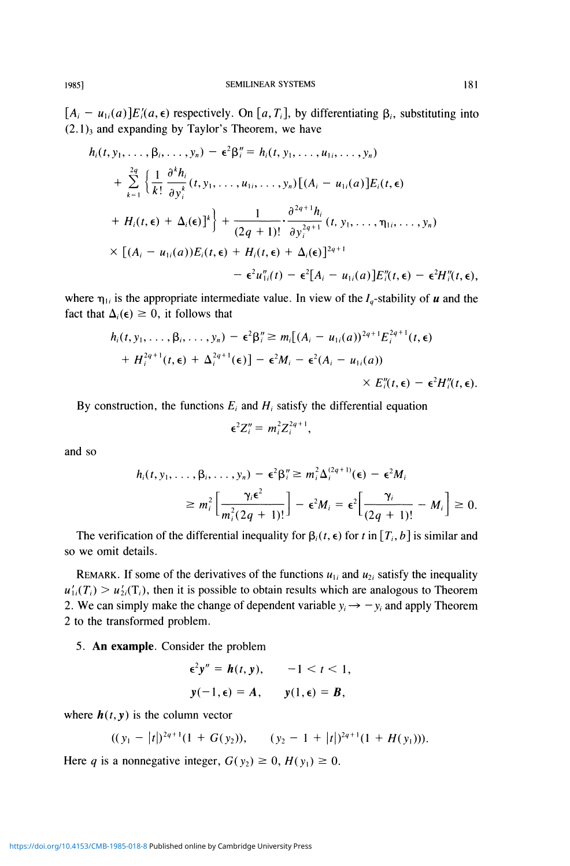$[A_i - u_{1i}(a)]E'_i(a, \epsilon)$  respectively. On [a, T<sub>i</sub>], by differentiating  $\beta_i$ , substituting into  $(2.1)$ <sub>3</sub> and expanding by Taylor's Theorem, we have

$$
h_i(t, y_1, ..., \beta_i, ..., y_n) - \epsilon^2 \beta_i'' = h_i(t, y_1, ..., y_n)
$$
  
+ 
$$
\sum_{k=1}^{2q} \left\{ \frac{1}{k!} \frac{\partial^k h_i}{\partial y_i^k} (t, y_1, ..., u_{1i}, ..., y_n) \left[ (A_i - u_{1i}(a)] E_i(t, \epsilon) \right. \right.+ 
$$
H_i(t, \epsilon) + \Delta_i(\epsilon) \Big]^k \right\} + \frac{1}{(2q+1)!} \cdot \frac{\partial^{2q+1} h_i}{\partial y_i^{2q+1}} (t, y_1, ..., \eta_{1i}, ..., y_n)
$$
  
× 
$$
\left[ (A_i - u_{1i}(a)) E_i(t, \epsilon) + H_i(t, \epsilon) + \Delta_i(\epsilon) \right]^{2q+1}
$$
  
- 
$$
\epsilon^2 u_{1i}''(t) - \epsilon^2 [A_i - u_{1i}(a)] E_i''(t, \epsilon) - \epsilon^2 H_i''(t, \epsilon),
$$
$$

where  $\eta_{1i}$  is the appropriate intermediate value. In view of the  $I_a$ -stability of u and the fact that  $\Delta_i(\epsilon) \geq 0$ , it follows that

$$
h_i(t, y_1, \ldots, \beta_i, \ldots, y_n) - \epsilon^2 \beta_i'' \ge m_i [(A_i - u_{1i}(a))^{2q+1} E_i^{2q+1}(t, \epsilon)
$$
  
+ 
$$
H_i^{2q+1}(t, \epsilon) + \Delta_i^{2q+1}(\epsilon)] - \epsilon^2 M_i - \epsilon^2 (A_i - u_{1i}(a))
$$
  

$$
\times E_i''(t, \epsilon) - \epsilon^2 H_i''(t, \epsilon).
$$

By construction, the functions  $E_i$  and  $H_i$  satisfy the differential equation

$$
\epsilon^2 Z_i'' = m_i^2 Z_i^{2q+1},
$$

and so

$$
h_i(t, y_1, \ldots, \beta_i, \ldots, y_n) - \epsilon^2 \beta_i'' \ge m_i^2 \Delta_i^{(2q+1)}(\epsilon) - \epsilon^2 M_i
$$
  
 
$$
\ge m_i^2 \left[ \frac{\gamma_i \epsilon^2}{m_i^2 (2q+1)!} \right] - \epsilon^2 M_i = \epsilon^2 \left[ \frac{\gamma_i}{(2q+1)!} - M_i \right] \ge 0.
$$

The verification of the differential inequality for  $\beta_i(t, \epsilon)$  for t in  $[T_i, b]$  is similar and so we omit details.

REMARK. If some of the derivatives of the functions  $u_{1i}$  and  $u_{2i}$  satisfy the inequality  $u'_{1i}(T_i) > u'_{2i}(T_i)$ , then it is possible to obtain results which are analogous to Theorem 2. We can simply make the change of dependent variable  $y_i \rightarrow -y_i$  and apply Theorem 2 to the transformed problem.

5. An example. Consider the problem

$$
\epsilon^2 y'' = h(t, y), \qquad -1 < t < 1,
$$
  

$$
y(-1, \epsilon) = A, \qquad y(1, \epsilon) = B,
$$

where  $h(t, y)$  is the column vector

$$
((y_1 - |t|)^{2q+1}(1 + G(y_2)), \quad (y_2 - 1 + |t|)^{2q+1}(1 + H(y_1))).
$$

Here q is a nonnegative integer,  $G(y_2) \ge 0$ ,  $H(y_1) \ge 0$ .

https://doi.org/10.4153/CMB-1985-018-8 Published online by Cambridge University Press

1985]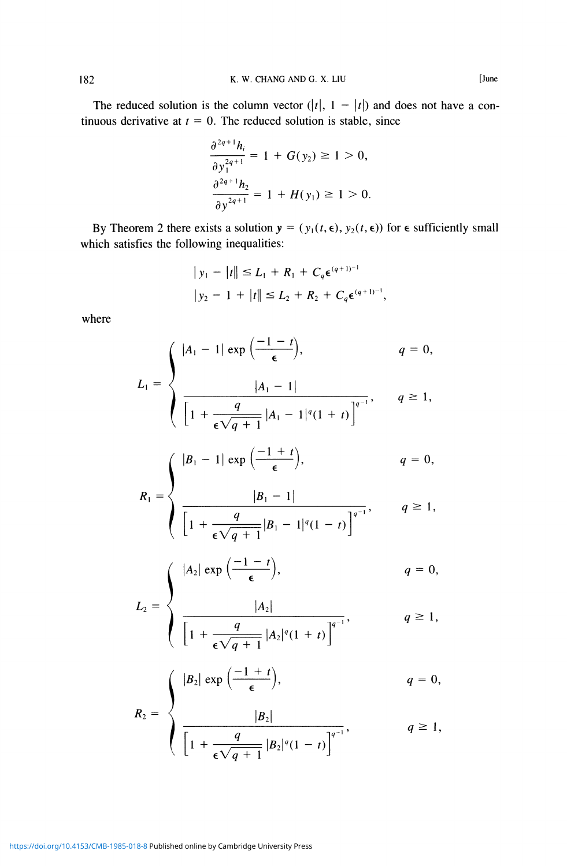The reduced solution is the column vector  $(|t|, 1 - |t|)$  and does not have a continuous derivative at  $t = 0$ . The reduced solution is stable, since

$$
\frac{\partial^{2q+1}h_i}{\partial y_1^{2q+1}} = 1 + G(y_2) \ge 1 > 0,
$$
  

$$
\frac{\partial^{2q+1}h_2}{\partial y_1^{2q+1}} = 1 + H(y_1) \ge 1 > 0.
$$

By Theorem 2 there exists a solution  $y = (y_1(t, \epsilon), y_2(t, \epsilon))$  for  $\epsilon$  sufficiently small which satisfies the following inequalities:

$$
\begin{aligned} |y_1 - |t| & \le L_1 + R_1 + C_q \epsilon^{(q+1)-1} \\ |y_2 - 1 + |t| & \le L_2 + R_2 + C_q \epsilon^{(q+1)-1} \end{aligned}
$$

where

$$
L_{1} = \begin{cases} |A_{1} - 1| \exp\left(\frac{-1 - t}{\epsilon}\right), & q = 0, \\ & |A_{1} - 1| & q = 0, \\ \hline \left[1 + \frac{q}{\epsilon\sqrt{q + 1}} |A_{1} - 1|^{q}(1 + t)\right]^{q-1}}, & q \ge 1, \\ & |B_{1} - 1| \exp\left(\frac{-1 + t}{\epsilon}\right), & q = 0, \\ & |B_{1} - 1| & q = 0, \\ \hline \left[1 + \frac{q}{\epsilon\sqrt{q + 1}} |B_{1} - 1|^{q}(1 - t)\right]^{q-1}}, & q \ge 1, \\ & |A_{2}| \exp\left(\frac{-1 - t}{\epsilon}\right), & q = 0, \\ & |A_{2}| & q = 0, \\ & |B_{2}| \exp\left(\frac{-1 + t}{\epsilon}\right), & q \ge 1, \\ & |B_{2}| \exp\left(\frac{-1 + t}{\epsilon}\right), & q = 0, \end{cases}
$$

$$
R_2 = \begin{cases} \frac{|B_2|}{\left[1 + \frac{q}{\epsilon \sqrt{q+1}} |B_2|^q (1-t)\right]^{q-1}}, & q \ge 1, \end{cases}
$$

<https://doi.org/10.4153/CMB-1985-018-8>Published online by Cambridge University Press